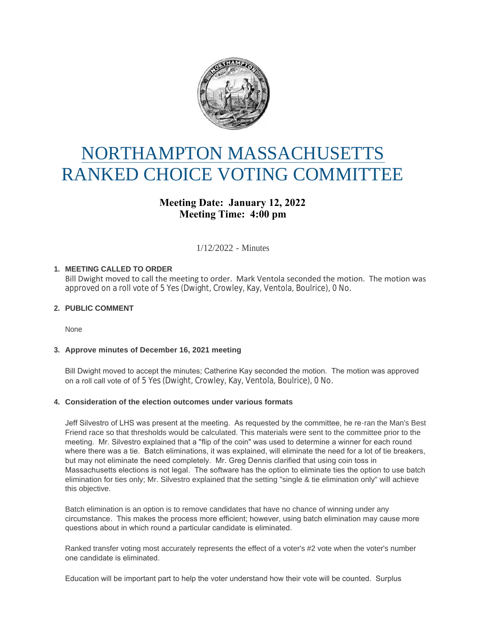

# NORTHAMPTON MASSACHUSETTS RANKED CHOICE VOTING COMMITTEE

# **Meeting Date: January 12, 2022 Meeting Time: 4:00 pm**

1/12/2022 - Minutes

# **MEETING CALLED TO ORDER 1.**

Bill Dwight moved to call the meeting to order. Mark Ventola seconded the motion. The motion was approved on a roll vote of 5 Yes (Dwight, Crowley, Kay, Ventola, Boulrice), 0 No.

# **PUBLIC COMMENT 2.**

None

## **Approve minutes of December 16, 2021 meeting 3.**

Bill Dwight moved to accept the minutes; Catherine Kay seconded the motion. The motion was approved on a roll call vote of of 5 Yes (Dwight, Crowley, Kay, Ventola, Boulrice), 0 No.

## **Consideration of the election outcomes under various formats 4.**

Jeff Silvestro of LHS was present at the meeting. As requested by the committee, he re-ran the Man's Best Friend race so that thresholds would be calculated. This materials were sent to the committee prior to the meeting. Mr. Silvestro explained that a "flip of the coin" was used to determine a winner for each round where there was a tie. Batch eliminations, it was explained, will eliminate the need for a lot of tie breakers, but may not eliminate the need completely. Mr. Greg Dennis clarified that using coin toss in Massachusetts elections is not legal. The software has the option to eliminate ties the option to use batch elimination for ties only; Mr. Silvestro explained that the setting "single & tie elimination only" will achieve this objective.

Batch elimination is an option is to remove candidates that have no chance of winning under any circumstance. This makes the process more efficient; however, using batch elimination may cause more questions about in which round a particular candidate is eliminated.

Ranked transfer voting most accurately represents the effect of a voter's #2 vote when the voter's number one candidate is eliminated.

Education will be important part to help the voter understand how their vote will be counted. Surplus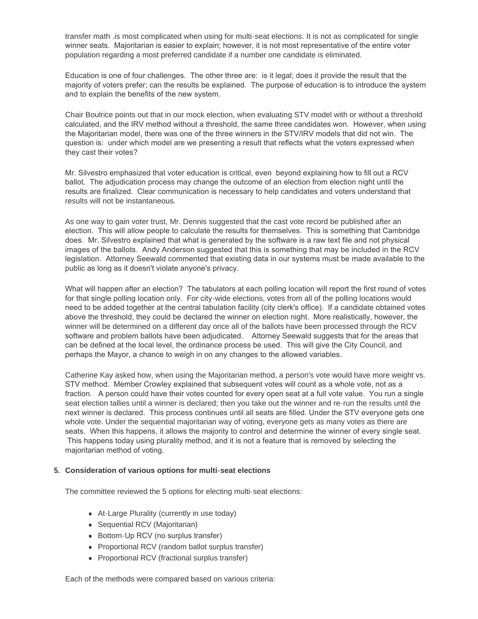transfer math .is most complicated when using for multi-seat elections. It is not as complicated for single winner seats. Majoritarian is easier to explain; however, it is not most representative of the entire voter population regarding a most preferred candidate if a number one candidate is eliminated.

Education is one of four challenges. The other three are: is it legal; does it provide the result that the majority of voters prefer; can the results be explained. The purpose of education is to introduce the system and to explain the benefits of the new system.

Chair Boulrice points out that in our mock election, when evaluating STV model with or without a threshold calculated, and the IRV method without a threshold, the same three candidates won. However, when using the Majoritarian model, there was one of the three winners in the STV/IRV models that did not win. The question is: under which model are we presenting a result that reflects what the voters expressed when they cast their votes?

Mr. Silvestro emphasized that voter education is critical, even beyond explaining how to fill out a RCV ballot. The adjudication process may change the outcome of an election from election night until the results are finalized. Clear communication is necessary to help candidates and voters understand that results will not be instantaneous.

As one way to gain voter trust, Mr. Dennis suggested that the cast vote record be published after an election. This will allow people to calculate the results for themselves. This is something that Cambridge does. Mr. Silvestro explained that what is generated by the software is a raw text file and not physical images of the ballots. Andy Anderson suggested that this is something that may be included in the RCV legislation. Attorney Seewald commented that existing data in our systems must be made available to the public as long as it doesn't violate anyone's privacy.

What will happen after an election? The tabulators at each polling location will report the first round of votes for that single polling location only. For city-wide elections, votes from all of the polling locations would need to be added together at the central tabulation facility (city clerk's office). If a candidate obtained votes above the threshold, they could be declared the winner on election night. More realistically, however, the winner will be determined on a different day once all of the ballots have been processed through the RCV software and problem ballots have been adjudicated. Attorney Seewald suggests that for the areas that can be defined at the local level, the ordinance process be used. This will give the City Council, and perhaps the Mayor, a chance to weigh in on any changes to the allowed variables.

Catherine Kay asked how, when using the Majoritarian method, a person's vote would have more weight vs. STV method. Member Crowley explained that subsequent votes will count as a whole vote, not as a fraction. A person could have their votes counted for every open seat at a full vote value. You run a single seat election tallies until a winner is declared; then you take out the winner and re-run the results until the next winner is declared. This process continues until all seats are filled. Under the STV everyone gets one whole vote. Under the sequential majoritarian way of voting, everyone gets as many votes as there are seats. When this happens, it allows the majority to control and determine the winner of every single seat. This happens today using plurality method, and it is not a feature that is removed by selecting the majoritarian method of voting.

#### **Consideration of various options for multi-seat elections 5.**

The committee reviewed the 5 options for electing multi-seat elections:

- At-Large Plurality (currently in use today)
- Sequential RCV (Majoritarian)
- Bottom-Up RCV (no surplus transfer)
- Proportional RCV (random ballot surplus transfer)
- Proportional RCV (fractional surplus transfer)

Each of the methods were compared based on various criteria: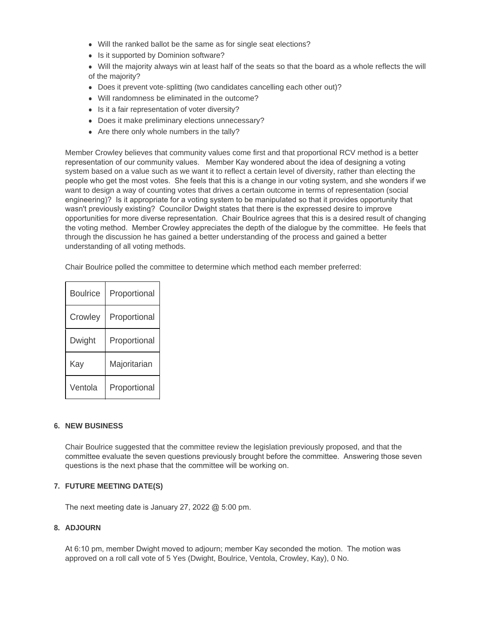- Will the ranked ballot be the same as for single seat elections?
- Is it supported by Dominion software?
- <sup>l</sup> Will the majority always win at least half of the seats so that the board as a whole reflects the will of the majority?
- Does it prevent vote-splitting (two candidates cancelling each other out)?
- Will randomness be eliminated in the outcome?
- Is it a fair representation of voter diversity?
- Does it make preliminary elections unnecessary?
- $\bullet$  Are there only whole numbers in the tally?

Member Crowley believes that community values come first and that proportional RCV method is a better representation of our community values. Member Kay wondered about the idea of designing a voting system based on a value such as we want it to reflect a certain level of diversity, rather than electing the people who get the most votes. She feels that this is a change in our voting system, and she wonders if we want to design a way of counting votes that drives a certain outcome in terms of representation (social engineering)? Is it appropriate for a voting system to be manipulated so that it provides opportunity that wasn't previously existing? Councilor Dwight states that there is the expressed desire to improve opportunities for more diverse representation. Chair Boulrice agrees that this is a desired result of changing the voting method. Member Crowley appreciates the depth of the dialogue by the committee. He feels that through the discussion he has gained a better understanding of the process and gained a better understanding of all voting methods.

Chair Boulrice polled the committee to determine which method each member preferred:

| <b>Boulrice</b> | Proportional |
|-----------------|--------------|
| Crowley         | Proportional |
| Dwight          | Proportional |
| Kay             | Majoritarian |
| Ventola         | Proportional |

#### **NEW BUSINESS 6.**

Chair Boulrice suggested that the committee review the legislation previously proposed, and that the committee evaluate the seven questions previously brought before the committee. Answering those seven questions is the next phase that the committee will be working on.

#### **FUTURE MEETING DATE(S) 7.**

The next meeting date is January 27, 2022 @ 5:00 pm.

#### **ADJOURN 8.**

At 6:10 pm, member Dwight moved to adjourn; member Kay seconded the motion. The motion was approved on a roll call vote of 5 Yes (Dwight, Boulrice, Ventola, Crowley, Kay), 0 No.